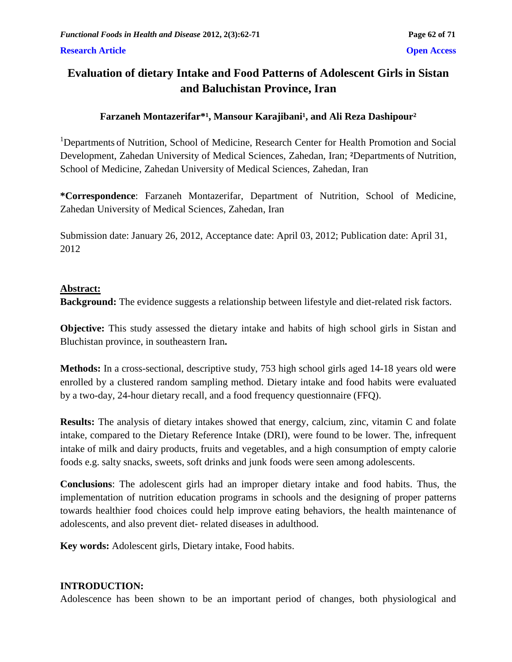# **Evaluation of dietary Intake and Food Patterns of Adolescent Girls in Sistan and Baluchistan Province, Iran**

# Farzaneh Montazerifar<sup>\*1</sup>, Mansour Karajibani<sup>1</sup>, and Ali Reza Dashipour<sup>2</sup>

<sup>1</sup>Departments of Nutrition, School of Medicine, Research Center for Health Promotion and Social Development, Zahedan University of Medical Sciences, Zahedan, Iran; **²**Departments of Nutrition, School of Medicine, Zahedan University of Medical Sciences, Zahedan, Iran

**\*Correspondence**: Farzaneh Montazerifar, Department of Nutrition, School of Medicine, Zahedan University of Medical Sciences, Zahedan, Iran

Submission date: January 26, 2012, Acceptance date: April 03, 2012; Publication date: April 31, 2012

## **Abstract:**

**Background:** The evidence suggests a relationship between lifestyle and diet-related risk factors.

**Objective:** This study assessed the dietary intake and habits of high school girls in Sistan and Bluchistan province, in southeastern Iran**.**

**Methods:** In a cross-sectional, descriptive study, 753 high school girls aged 14-18 years old were enrolled by a clustered random sampling method. Dietary intake and food habits were evaluated by a two-day, 24-hour dietary recall, and a food frequency questionnaire (FFQ).

**Results:** The analysis of dietary intakes showed that energy, calcium, zinc, vitamin C and folate intake, compared to the Dietary Reference Intake (DRI), were found to be lower. The, infrequent intake of milk and dairy products, fruits and vegetables, and a high consumption of empty calorie foods e.g. salty snacks, sweets, soft drinks and junk foods were seen among adolescents.

**Conclusions**: The adolescent girls had an improper dietary intake and food habits. Thus, the implementation of nutrition education programs in schools and the designing of proper patterns towards healthier food choices could help improve eating behaviors, the health maintenance of adolescents, and also prevent diet- related diseases in adulthood.

**Key words:** Adolescent girls, Dietary intake, Food habits.

# **INTRODUCTION:**

Adolescence has been shown to be an important period of changes, both physiological and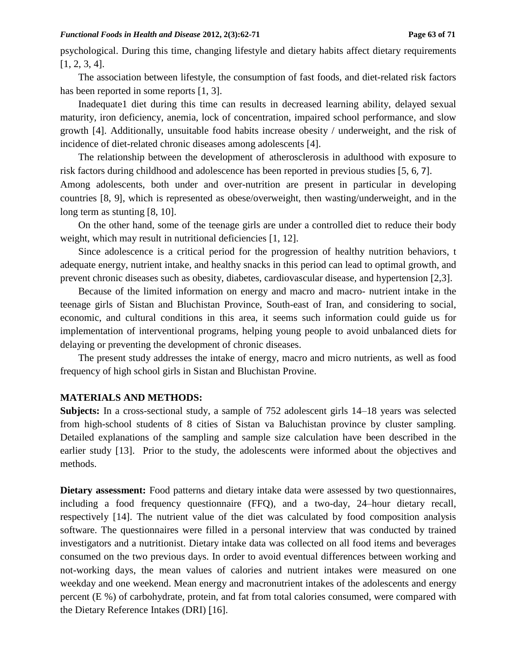psychological. During this time, changing lifestyle and dietary habits affect dietary requirements [1, 2, 3, 4].

The association between lifestyle, the consumption of fast foods, and diet-related risk factors has been reported in some reports [1, 3].

Inadequate1 diet during this time can results in decreased learning ability, delayed sexual maturity, iron deficiency, anemia, lock of concentration, impaired school performance, and slow growth [4]. Additionally, unsuitable food habits increase obesity / underweight, and the risk of incidence of diet-related chronic diseases among adolescents [4].

The relationship between the development of atherosclerosis in adulthood with exposure to risk factors during childhood and adolescence has been reported in previous studies [5, 6, 7].

Among adolescents, both under and over-nutrition are present in particular in developing countries [8, 9], which is represented as obese/overweight, then wasting/underweight, and in the long term as stunting [8, 10].

On the other hand, some of the teenage girls are under a controlled diet to reduce their body weight, which may result in nutritional deficiencies [1, 12].

Since adolescence is a critical period for the progression of healthy nutrition behaviors, t adequate energy, nutrient intake, and healthy snacks in this period can lead to optimal growth, and prevent chronic diseases such as obesity, diabetes, cardiovascular disease, and hypertension [2,3].

Because of the limited information on energy and macro and macro- nutrient intake in the teenage girls of Sistan and Bluchistan Province, South-east of Iran, and considering to social, economic, and cultural conditions in this area, it seems such information could guide us for implementation of interventional programs, helping young people to avoid unbalanced diets for delaying or preventing the development of chronic diseases.

The present study addresses the intake of energy, macro and micro nutrients, as well as food frequency of high school girls in Sistan and Bluchistan Provine.

### **MATERIALS AND METHODS:**

**Subjects:** In a cross-sectional study, a sample of 752 adolescent girls 14–18 years was selected from high-school students of 8 cities of Sistan va Baluchistan province by cluster sampling. Detailed explanations of the sampling and sample size calculation have been described in the earlier study [13]. Prior to the study, the adolescents were informed about the objectives and methods.

**Dietary assessment:** Food patterns and dietary intake data were assessed by two questionnaires, including a food frequency questionnaire (FFQ), and a two-day, 24–hour dietary recall, respectively [14]. The nutrient value of the diet was calculated by food composition analysis software. The questionnaires were filled in a personal interview that was conducted by trained investigators and a nutritionist. Dietary intake data was collected on all food items and beverages consumed on the two previous days. In order to avoid eventual differences between working and not-working days, the mean values of calories and nutrient intakes were measured on one weekday and one weekend. Mean energy and macronutrient intakes of the adolescents and energy percent (E %) of carbohydrate, protein, and fat from total calories consumed, were compared with the Dietary Reference Intakes (DRI) [16].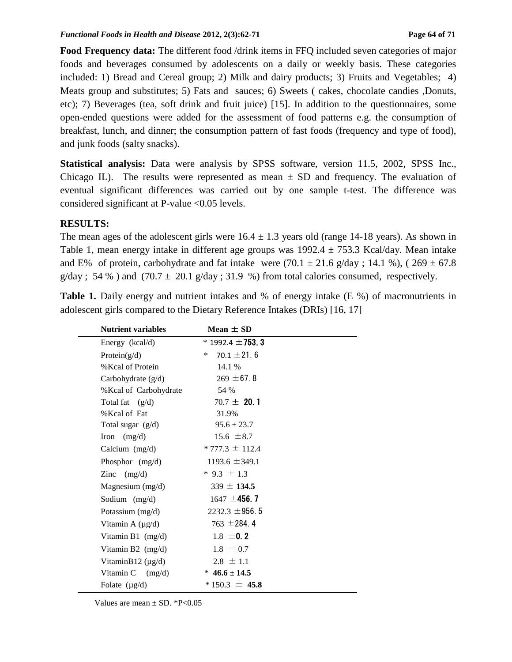**Food Frequency data:** The different food /drink items in FFQ included seven categories of major foods and beverages consumed by adolescents on a daily or weekly basis. These categories included: 1) Bread and Cereal group; 2) Milk and dairy products; 3) Fruits and Vegetables; 4) Meats group and substitutes; 5) Fats and sauces; 6) Sweets ( cakes, chocolate candies ,Donuts, etc); 7) Beverages (tea, soft drink and fruit juice) [15]. In addition to the questionnaires, some open-ended questions were added for the assessment of food patterns e.g. the consumption of breakfast, lunch, and dinner; the consumption pattern of fast foods (frequency and type of food), and junk foods (salty snacks).

**Statistical analysis:** Data were analysis by SPSS software, version 11.5, 2002, SPSS Inc., Chicago IL). The results were represented as mean  $\pm$  SD and frequency. The evaluation of eventual significant differences was carried out by one sample t-test. The difference was considered significant at P-value <0.05 levels.

#### **RESULTS:**

The mean ages of the adolescent girls were  $16.4 \pm 1.3$  years old (range 14-18 years). As shown in Table 1, mean energy intake in different age groups was  $1992.4 \pm 753.3$  Kcal/day. Mean intake and E% of protein, carbohydrate and fat intake were  $(70.1 \pm 21.6 \text{ g/day}; 14.1 \text{ %})$ ,  $(269 \pm 67.8 \text{ g/day})$  $g/day$ ; 54 %) and (70.7  $\pm$  20.1  $g/day$ ; 31.9 %) from total calories consumed, respectively.

**Table 1.** Daily energy and nutrient intakes and % of energy intake (E %) of macronutrients in adolescent girls compared to the Dietary Reference Intakes (DRIs) [16, 17]

| <b>Nutrient variables</b> | Mean $\pm$ SD           |  |
|---------------------------|-------------------------|--|
| Energy (kcal/d)           | $*$ 1992.4 $\pm$ 753. 3 |  |
| Protein $(g/d)$           | 70.1 $\pm$ 21.6<br>∗    |  |
| % Kcal of Protein         | 14.1 %                  |  |
| Carbohydrate (g/d)        | $269 \pm 67.8$          |  |
| % Kcal of Carbohydrate    | 54 %                    |  |
| Total fat $(g/d)$         | $70.7 \pm 20.1$         |  |
| % Kcal of Fat             | 31.9%                   |  |
| Total sugar (g/d)         | $95.6 \pm 23.7$         |  |
| Iron $(mg/d)$             | $15.6 \pm 8.7$          |  |
| Calcium $(mg/d)$          | $* 777.3 \pm 112.4$     |  |
| Phosphor $(mg/d)$         | $1193.6 \pm 349.1$      |  |
| Zinc $(mg/d)$             | $*$ 9.3 $\pm$ 1.3       |  |
| Magnesium $(mg/d)$        | $339 \pm 134.5$         |  |
| Sodium (mg/d)             | $1647 \pm 456.7$        |  |
| Potassium (mg/d)          | $2232.3 \pm 956.5$      |  |
| Vitamin A $(\mu g/d)$     | 763 $\pm$ 284.4         |  |
| Vitamin B1 $(mg/d)$       | $1.8 \pm 0.2$           |  |
| Vitamin B2 (mg/d)         | $1.8 \pm 0.7$           |  |
| VitaminB12 $(\mu g/d)$    | $2.8 \pm 1.1$           |  |
| Vitamin $C$ (mg/d)        | $*$ 46.6 ± 14.5         |  |
| Folate $(\mu g/d)$        | $*150.3 \pm 45.8$       |  |
|                           |                         |  |

Values are mean  $\pm$  SD. \*P<0.05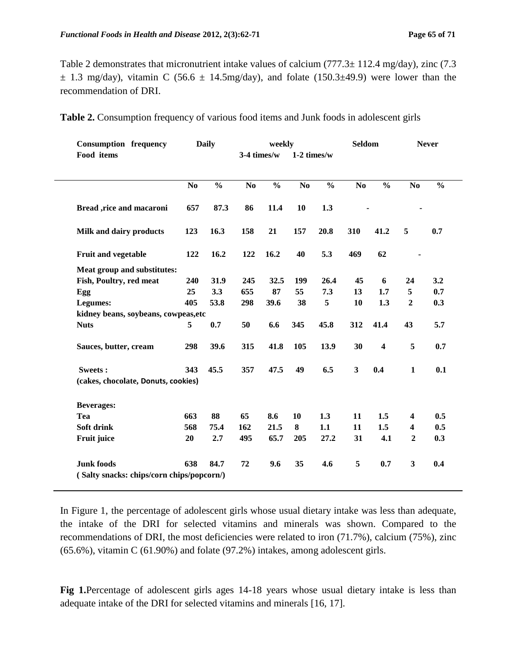Table 2 demonstrates that micronutrient intake values of calcium  $(777.3 \pm 112.4 \text{ mg/day})$ , zinc  $(7.3 \pm 112.4 \text{ mg/day})$  $\pm$  1.3 mg/day), vitamin C (56.6  $\pm$  14.5mg/day), and folate (150.3 $\pm$ 49.9) were lower than the recommendation of DRI.

|  |  |  | Table 2. Consumption frequency of various food items and Junk foods in adolescent girls |  |
|--|--|--|-----------------------------------------------------------------------------------------|--|
|  |  |  |                                                                                         |  |

| <b>Consumption frequency</b>              | <b>Daily</b>   |               | weekly                       |               |                | <b>Seldom</b> |                         | <b>Never</b>            |                         |               |
|-------------------------------------------|----------------|---------------|------------------------------|---------------|----------------|---------------|-------------------------|-------------------------|-------------------------|---------------|
| Food items                                |                |               | 3-4 times/w<br>$1-2$ times/w |               |                |               |                         |                         |                         |               |
|                                           | N <sub>0</sub> | $\frac{0}{0}$ | N <sub>0</sub>               | $\frac{0}{0}$ | N <sub>o</sub> | $\frac{0}{0}$ | N <sub>0</sub>          | $\frac{0}{0}$           | N <sub>0</sub>          | $\frac{0}{0}$ |
| Bread ,rice and macaroni                  | 657            | 87.3          | 86                           | 11.4          | 10             | 1.3           |                         |                         |                         |               |
| Milk and dairy products                   | 123            | 16.3          | 158                          | 21            | 157            | 20.8          | 310                     | 41.2                    | 5                       | 0.7           |
| Fruit and vegetable                       | 122            | 16.2          | 122                          | 16.2          | 40             | 5.3           | 469                     | 62                      |                         |               |
| Meat group and substitutes:               |                |               |                              |               |                |               |                         |                         |                         |               |
| Fish, Poultry, red meat                   | 240            | 31.9          | 245                          | 32.5          | 199            | 26.4          | 45                      | 6                       | 24                      | 3.2           |
| Egg                                       | 25             | 3.3           | 655                          | 87            | 55             | 7.3           | 13                      | 1.7                     | 5                       | 0.7           |
| Legumes:                                  | 405            | 53.8          | 298                          | 39.6          | 38             | 5             | 10                      | 1.3                     | $\overline{2}$          | 0.3           |
| kidney beans, soybeans, cowpeas, etc      |                |               |                              |               |                |               |                         |                         |                         |               |
| <b>Nuts</b>                               | 5              | 0.7           | 50                           | 6.6           | 345            | 45.8          | 312                     | 41.4                    | 43                      | 5.7           |
| Sauces, butter, cream                     | 298            | 39.6          | 315                          | 41.8          | 105            | 13.9          | 30                      | $\overline{\mathbf{4}}$ | 5                       | 0.7           |
| Sweets:                                   | 343            | 45.5          | 357                          | 47.5          | 49             | 6.5           | $\overline{\mathbf{3}}$ | 0.4                     | $\mathbf{1}$            | 0.1           |
| (cakes, chocolate, Donuts, cookies)       |                |               |                              |               |                |               |                         |                         |                         |               |
| <b>Beverages:</b>                         |                |               |                              |               |                |               |                         |                         |                         |               |
| Tea                                       | 663            | 88            | 65                           | 8.6           | 10             | 1.3           | 11                      | 1.5                     | 4                       | 0.5           |
| Soft drink                                | 568            | 75.4          | 162                          | 21.5          | 8              | 1.1           | 11                      | 1.5                     | $\overline{\mathbf{4}}$ | 0.5           |
| Fruit juice                               | 20             | 2.7           | 495                          | 65.7          | 205            | 27.2          | 31                      | 4.1                     | $\overline{2}$          | 0.3           |
| <b>Junk foods</b>                         | 638            | 84.7          | 72                           | 9.6           | 35             | 4.6           | 5                       | 0.7                     | $\mathbf{3}$            | 0.4           |
| (Salty snacks: chips/corn chips/popcorn/) |                |               |                              |               |                |               |                         |                         |                         |               |

In Figure 1, the percentage of adolescent girls whose usual dietary intake was less than adequate, the intake of the DRI for selected vitamins and minerals was shown. Compared to the recommendations of DRI, the most deficiencies were related to iron (71.7%), calcium (75%), zinc (65.6%), vitamin C (61.90%) and folate (97.2%) intakes, among adolescent girls.

**Fig 1.**Percentage of adolescent girls ages 14-18 years whose usual dietary intake is less than adequate intake of the DRI for selected vitamins and minerals [16, 17].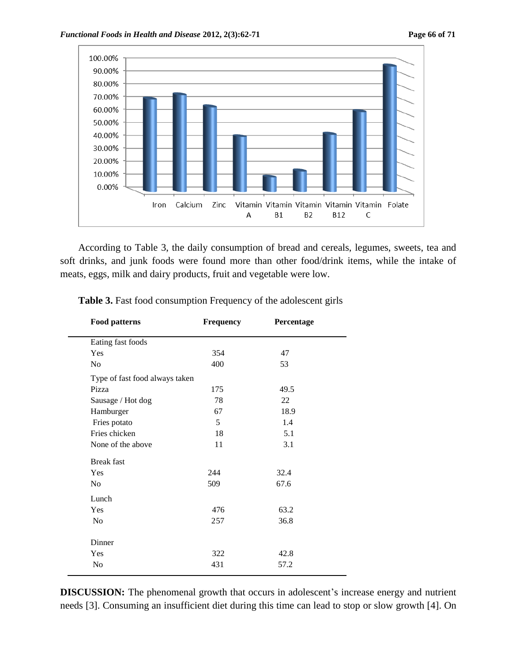

According to Table 3, the daily consumption of bread and cereals, legumes, sweets, tea and soft drinks, and junk foods were found more than other food/drink items, while the intake of meats, eggs, milk and dairy products, fruit and vegetable were low.

| <b>Food patterns</b>           | <b>Frequency</b> | Percentage |  |
|--------------------------------|------------------|------------|--|
| Eating fast foods              |                  |            |  |
| Yes                            | 354              | 47         |  |
| No                             | 400              | 53         |  |
| Type of fast food always taken |                  |            |  |
| Pizza                          | 175              | 49.5       |  |
| Sausage / Hot dog              | 78               | 22         |  |
| Hamburger                      | 67               | 18.9       |  |
| Fries potato                   | 5                | 1.4        |  |
| Fries chicken                  | 18               | 5.1        |  |
| None of the above              | 11               | 3.1        |  |
| <b>Break</b> fast              |                  |            |  |
| Yes                            | 244              | 32.4       |  |
| No                             | 509              | 67.6       |  |
| Lunch                          |                  |            |  |
| Yes                            | 476              | 63.2       |  |
| N <sub>o</sub>                 | 257              | 36.8       |  |
| Dinner                         |                  |            |  |
| Yes                            | 322              | 42.8       |  |
| N <sub>o</sub>                 | 431              | 57.2       |  |
|                                |                  |            |  |

Table 3. Fast food consumption Frequency of the adolescent girls

**DISCUSSION:** The phenomenal growth that occurs in adolescent's increase energy and nutrient needs [3]. Consuming an insufficient diet during this time can lead to stop or slow growth [4]. On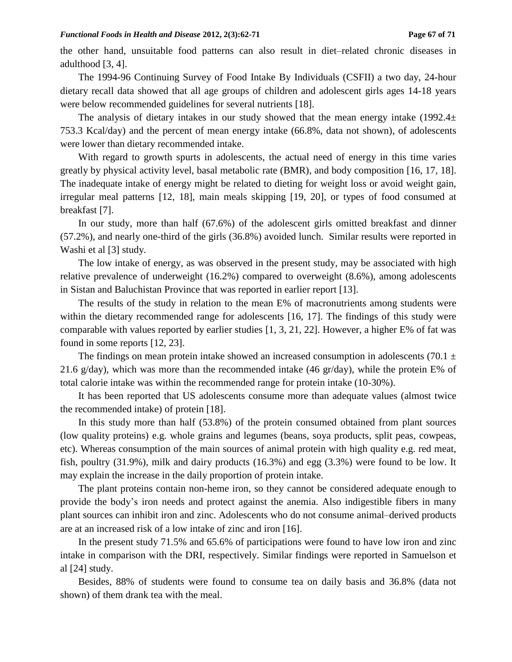the other hand, unsuitable food patterns can also result in diet–related chronic diseases in adulthood [3, 4].

The 1994-96 Continuing Survey of Food Intake By Individuals (CSFII) a two day, 24-hour dietary recall data showed that all age groups of children and adolescent girls ages 14-18 years were below recommended guidelines for several nutrients [18].

The analysis of dietary intakes in our study showed that the mean energy intake  $(1992.4<sub>±</sub>)$ 753.3 Kcal/day) and the percent of mean energy intake (66.8%, data not shown), of adolescents were lower than dietary recommended intake.

With regard to growth spurts in adolescents, the actual need of energy in this time varies greatly by physical activity level, basal metabolic rate (BMR), and body composition [16, 17, 18]. The inadequate intake of energy might be related to dieting for weight loss or avoid weight gain, irregular meal patterns [12, 18], main meals skipping [19, 20], or types of food consumed at breakfast [7].

In our study, more than half (67.6%) of the adolescent girls omitted breakfast and dinner (57.2%), and nearly one-third of the girls (36.8%) avoided lunch. Similar results were reported in Washi et al [3] study.

The low intake of energy, as was observed in the present study, may be associated with high relative prevalence of underweight (16.2%) compared to overweight (8.6%), among adolescents in Sistan and Baluchistan Province that was reported in earlier report [13].

The results of the study in relation to the mean E% of macronutrients among students were within the dietary recommended range for adolescents [16, 17]. The findings of this study were comparable with values reported by earlier studies [1, 3, 21, 22]. However, a higher E% of fat was found in some reports [12, 23].

The findings on mean protein intake showed an increased consumption in adolescents (70.1  $\pm$ 21.6 g/day), which was more than the recommended intake (46 gr/day), while the protein E% of total calorie intake was within the recommended range for protein intake (10-30%).

It has been reported that US adolescents consume more than adequate values (almost twice the recommended intake) of protein [18].

In this study more than half (53.8%) of the protein consumed obtained from plant sources (low quality proteins) e.g. whole grains and legumes (beans, soya products, split peas, cowpeas, etc). Whereas consumption of the main sources of animal protein with high quality e.g. red meat, fish, poultry (31.9%), milk and dairy products (16.3%) and egg (3.3%) were found to be low. It may explain the increase in the daily proportion of protein intake.

The plant proteins contain non-heme iron, so they cannot be considered adequate enough to provide the body's iron needs and protect against the anemia. Also indigestible fibers in many plant sources can inhibit iron and zinc. Adolescents who do not consume animal–derived products are at an increased risk of a low intake of zinc and iron [16].

In the present study 71.5% and 65.6% of participations were found to have low iron and zinc intake in comparison with the DRI, respectively. Similar findings were reported in Samuelson et al [24] study.

Besides, 88% of students were found to consume tea on daily basis and 36.8% (data not shown) of them drank tea with the meal.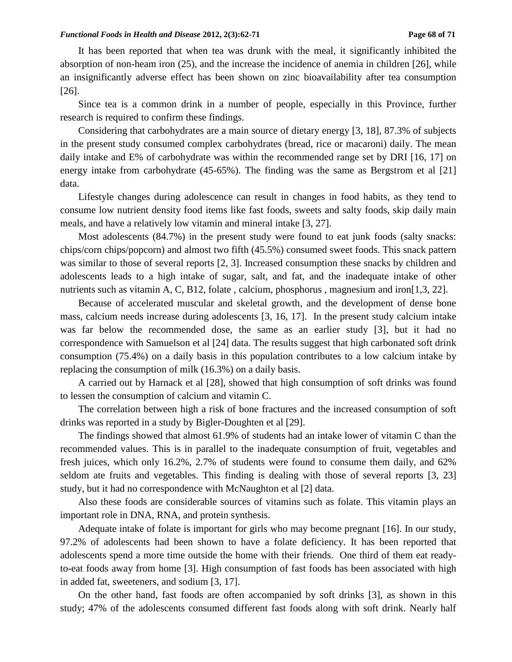It has been reported that when tea was drunk with the meal, it significantly inhibited the absorption of non-heam iron (25), and the increase the incidence of anemia in children [26], while an insignificantly adverse effect has been shown on zinc bioavailability after tea consumption [26].

Since tea is a common drink in a number of people, especially in this Province, further research is required to confirm these findings.

Considering that carbohydrates are a main source of dietary energy [3, 18], 87.3% of subjects in the present study consumed complex carbohydrates (bread, rice or macaroni) daily. The mean daily intake and E% of carbohydrate was within the recommended range set by DRI [16, 17] on energy intake from carbohydrate (45-65%). The finding was the same as Bergstrom et al [21] data.

Lifestyle changes during adolescence can result in changes in food habits, as they tend to consume low nutrient density food items like fast foods, sweets and salty foods, skip daily main meals, and have a relatively low vitamin and mineral intake [3, 27].

Most adolescents (84.7%) in the present study were found to eat junk foods (salty snacks: chips/corn chips/popcorn) and almost two fifth (45.5%) consumed sweet foods. This snack pattern was similar to those of several reports [2, 3]. Increased consumption these snacks by children and adolescents leads to a high intake of sugar, salt, and fat, and the inadequate intake of other nutrients such as vitamin A, C, B12, folate, calcium, phosphorus, magnesium and iron[1,3, 22].

Because of accelerated muscular and skeletal growth, and the development of dense bone mass, calcium needs increase during adolescents [3, 16, 17]. In the present study calcium intake was far below the recommended dose, the same as an earlier study [3], but it had no correspondence with Samuelson et al [24] data. The results suggest that high carbonated soft drink consumption (75.4%) on a daily basis in this population contributes to a low calcium intake by replacing the consumption of milk (16.3%) on a daily basis.

A carried out by Harnack et al [28], showed that high consumption of soft drinks was found to lessen the consumption of calcium and vitamin C.

The correlation between high a risk of bone fractures and the increased consumption of soft drinks was reported in a study by Bigler-Doughten et al [29].

The findings showed that almost 61.9% of students had an intake lower of vitamin C than the recommended values. This is in parallel to the inadequate consumption of fruit, vegetables and fresh juices, which only 16.2%, 2.7% of students were found to consume them daily, and 62% seldom ate fruits and vegetables. This finding is dealing with those of several reports [3, 23] study, but it had no correspondence with McNaughton et al [2] data.

Also these foods are considerable sources of vitamins such as folate. This vitamin plays an important role in DNA, RNA, and protein synthesis.

Adequate intake of folate is important for girls who may become pregnant [16]. In our study, 97.2% of adolescents had been shown to have a folate deficiency. It has been reported that adolescents spend a more time outside the home with their friends. One third of them eat readyto-eat foods away from home [3]. High consumption of fast foods has been associated with high in added fat, sweeteners, and sodium [3, 17].

On the other hand, fast foods are often accompanied by soft drinks [3], as shown in this study; 47% of the adolescents consumed different fast foods along with soft drink. Nearly half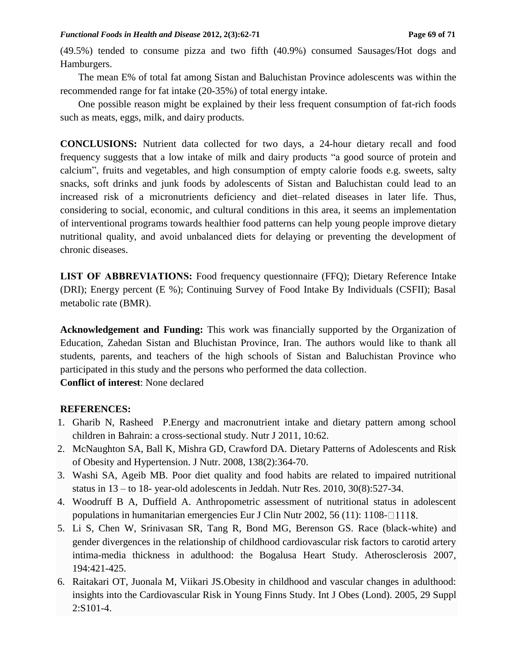(49.5%) tended to consume pizza and two fifth (40.9%) consumed Sausages/Hot dogs and Hamburgers.

The mean E% of total fat among Sistan and Baluchistan Province adolescents was within the recommended range for fat intake (20-35%) of total energy intake.

One possible reason might be explained by their less frequent consumption of fat-rich foods such as meats, eggs, milk, and dairy products.

**CONCLUSIONS:** Nutrient data collected for two days, a 24-hour dietary recall and food frequency suggests that a low intake of milk and dairy products "a good source of protein and calcium", fruits and vegetables, and high consumption of empty calorie foods e.g. sweets, salty snacks, soft drinks and junk foods by adolescents of Sistan and Baluchistan could lead to an increased risk of a micronutrients deficiency and diet–related diseases in later life. Thus, considering to social, economic, and cultural conditions in this area, it seems an implementation of interventional programs towards healthier food patterns can help young people improve dietary nutritional quality, and avoid unbalanced diets for delaying or preventing the development of chronic diseases.

**LIST OF ABBREVIATIONS:** Food frequency questionnaire (FFQ); Dietary Reference Intake (DRI); Energy percent (E %); Continuing Survey of Food Intake By Individuals (CSFII); Basal metabolic rate (BMR).

**Acknowledgement and Funding:** This work was financially supported by the Organization of Education, Zahedan Sistan and Bluchistan Province, Iran. The authors would like to thank all students, parents, and teachers of the high schools of Sistan and Baluchistan Province who participated in this study and the persons who performed the data collection.

**Conflict of interest**: None declared

### **REFERENCES:**

- 1. Gharib N, Rasheed P.Energy and macronutrient intake and dietary pattern among school children in Bahrain: a cross-sectional study. Nutr J 2011, 10:62.
- 2. McNaughton SA, Ball K, Mishra GD, Crawford DA. Dietary Patterns of Adolescents and Risk of Obesity and Hypertension. [J Nutr.](http://www.ncbi.nlm.nih.gov/pubmed/18203905) 2008, 138(2):364-70.
- 3. Washi SA, Ageib MB. Poor diet quality and food habits are related to impaired nutritional status in 13 – to 18- year-old adolescents in Jeddah. Nutr Res. 2010, 30(8):527-34.
- 4. Woodruff B A, Duffield A. Anthropometric assessment of nutritional status in adolescent populations in humanitarian emergencies Eur J Clin Nutr 2002, 56 (11):  $1108 - 1118$ .
- 5. Li S, Chen W, Srinivasan SR, Tang R, Bond MG, Berenson GS. Race (black-white) and gender divergences in the relationship of childhood cardiovascular risk factors to carotid artery intima-media thickness in adulthood: the Bogalusa Heart Study. Atherosclerosis 2007, 194:421-425.
- 6. [Raitakari OT,](http://www.ncbi.nlm.nih.gov/pubmed?term=%22Raitakari%20OT%22%5BAuthor%5D) [Juonala M,](http://www.ncbi.nlm.nih.gov/pubmed?term=%22Juonala%20M%22%5BAuthor%5D) [Viikari JS.](http://www.ncbi.nlm.nih.gov/pubmed?term=%22Viikari%20JS%22%5BAuthor%5D)Obesity in childhood and vascular changes in adulthood: insights into the Cardiovascular Risk in Young Finns Study. [Int J Obes \(Lond\).](http://www.ncbi.nlm.nih.gov/pubmed/16385760) 2005, 29 Suppl 2:S101-4.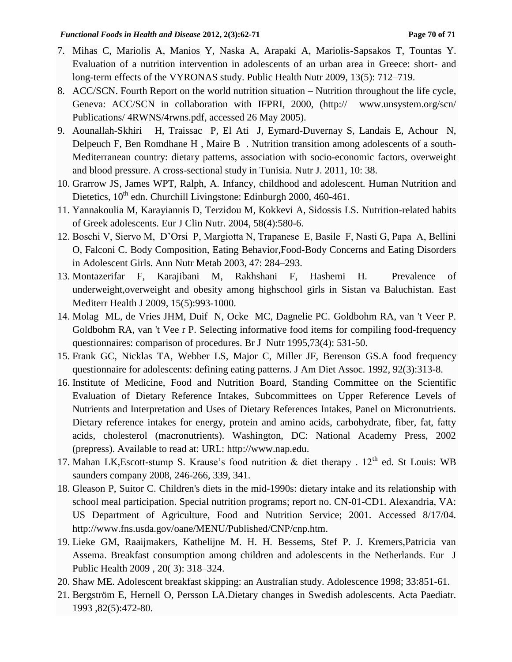- 7. Mihas C, Mariolis A, Manios Y, Naska A, Arapaki A, Mariolis-Sapsakos T, Tountas Y. Evaluation of a nutrition intervention in adolescents of an urban area in Greece: short- and long-term effects of the VYRONAS study. Public Health Nutr 2009, 13(5): 712–719.
- 8. ACC/SCN. Fourth Report on the world nutrition situation Nutrition throughout the life cycle, Geneva: ACC/SCN in collaboration with IFPRI, 2000, (http:// www.unsystem.org/scn/ Publications/ 4RWNS/4rwns.pdf, accessed 26 May 2005).
- 9. Aounallah-Skhiri H, Traissac P, El Ati J, Eymard-Duvernay S, Landais E, Achour N, Delpeuch F, Ben Romdhane H , Maire B . Nutrition transition among adolescents of a south-Mediterranean country: dietary patterns, association with socio-economic factors, overweight and blood pressure. A cross-sectional study in Tunisia. Nutr J. 2011, 10: 38.
- 10. Grarrow JS, James WPT, Ralph, A. Infancy, childhood and adolescent. Human Nutrition and Dietetics,  $10^{th}$  edn. Churchill Livingstone: Edinburgh 2000, 460-461.
- 11. Yannakoulia M*,* Karayiannis D*,* Terzidou M*,* Kokkevi A*,* Sidossis LS. Nutrition-related habits of Greek adolescents. [Eur J Clin Nutr.](http://www.ncbi.nlm.nih.gov/pubmed/15042125) 2004, 58(4):580-6.
- 12. Boschi V, Siervo M, D'Orsi P, Margiotta N, Trapanese E, Basile F, Nasti G, Papa A, Bellini O, Falconi C. Body Composition, Eating Behavior,Food-Body Concerns and Eating Disorders in Adolescent Girls. Ann Nutr Metab 2003, 47: 284–293.
- 13. Montazerifar F, Karajibani M, Rakhshani F, Hashemi H. Prevalence of underweight,overweight and obesity among highschool girls in Sistan va Baluchistan. East Mediterr Health J 2009, 15(5):993-1000.
- 14. Molag ML, de Vries JHM, Duif N, Ocke MC, Dagnelie PC. Goldbohm RA, van 't Veer P. Goldbohm RA, van 't Vee r P. Selecting informative food items for compiling food-frequency questionnaires: comparison of procedures. Br J Nutr 1995,73(4): 531-50.
- 15. [Frank GC,](http://www.ncbi.nlm.nih.gov/pubmed?term=%22Frank%20GC%22%5BAuthor%5D) [Nicklas TA,](http://www.ncbi.nlm.nih.gov/pubmed?term=%22Nicklas%20TA%22%5BAuthor%5D) [Webber LS,](http://www.ncbi.nlm.nih.gov/pubmed?term=%22Webber%20LS%22%5BAuthor%5D) [Major C,](http://www.ncbi.nlm.nih.gov/pubmed?term=%22Major%20C%22%5BAuthor%5D) [Miller JF,](http://www.ncbi.nlm.nih.gov/pubmed?term=%22Miller%20JF%22%5BAuthor%5D) [Berenson GS.](http://www.ncbi.nlm.nih.gov/pubmed?term=%22Berenson%20GS%22%5BAuthor%5D)A food frequency questionnaire for adolescents: defining eating patterns. [J Am Diet Assoc.](http://www.ncbi.nlm.nih.gov/pubmed/1552130) 1992, 92(3):313-8.
- 16. Institute of Medicine, Food and Nutrition Board, Standing Committee on the Scientific Evaluation of Dietary Reference Intakes, Subcommittees on Upper Reference Levels of Nutrients and Interpretation and Uses of Dietary References Intakes, Panel on Micronutrients. Dietary reference intakes for energy, protein and amino acids, carbohydrate, fiber, fat, fatty acids, cholesterol (macronutrients). Washington, DC: National Academy Press, 2002 (prepress). Available to read at: URL: [http://www.nap.edu.](http://www.nap.edu/)
- 17. Mahan LK, Escott-stump S. Krause's food nutrition & diet therapy . 12<sup>th</sup> ed. St Louis: WB saunders company 2008, 246-266, 339, 341.
- 18. Gleason P, Suitor C. Children's diets in the mid-1990s: dietary intake and its relationship with school meal participation. Special nutrition programs; report no. CN-01-CD1. Alexandria, VA: US Department of Agriculture, Food and Nutrition Service; 2001. Accessed 8/17/04. [http://www.fns.usda.gov/oane/MENU/Published/CNP/cnp.htm.](http://www.fns.usda.gov/oane/MENU/Published/CNP/cnp.htm)
- 19. Lieke GM, Raaijmakers, Kathelijne M. H. H. Bessems, Stef P. J. Kremers,Patricia van Assema. Breakfast consumption among children and adolescents in the Netherlands. Eur J Public Health 2009 , 20( 3): 318–324.
- 20. Shaw ME. Adolescent breakfast skipping: an Australian study. Adolescence 1998; 33:851-61.
- 21. [Bergström E,](http://www.ncbi.nlm.nih.gov/pubmed?term=%22Bergstr%C3%B6m%20E%22%5BAuthor%5D) [Hernell O,](http://www.ncbi.nlm.nih.gov/pubmed?term=%22Hernell%20O%22%5BAuthor%5D) [Persson LA.](http://www.ncbi.nlm.nih.gov/pubmed?term=%22Persson%20LA%22%5BAuthor%5D)Dietary changes in Swedish adolescents. [Acta Paediatr.](http://www.ncbi.nlm.nih.gov/pubmed/8518525?dopt=Abstract&holding=npg) 1993 ,82(5):472-80.